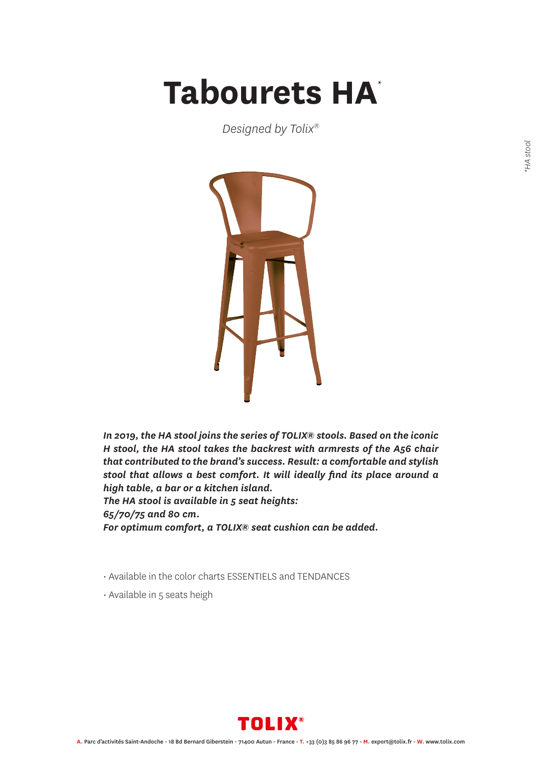## Tabourets HA<sup>\*</sup>

*Designed by Tolix®*



*In 2019, the HA stool joins the series of TOLIX® stools. Based on the iconic H stool, the HA stool takes the backrest with armrests of the A56 chair that contributed to the brand's success. Result: a comfortable and stylish stool that allows a best comfort. It will ideally find its place around a high table, a bar or a kitchen island. The HA stool is available in 5 seat heights: 65/70/75 and 80 cm. For optimum comfort, a TOLIX® seat cushion can be added.*

• Available in the color charts ESSENTIELS and TENDANCES

• Available in 5 seats heigh